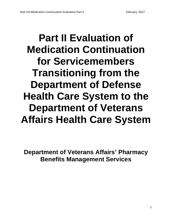# **Part II Evaluation of Medication Continuation for Servicemembers Transitioning from the Department of Defense Health Care System to the Department of Veterans Affairs Health Care System**

**Department of Veterans Affairs' Pharmacy Benefits Management Services**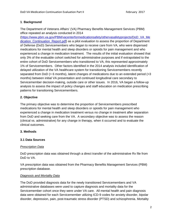## **1**. **Background**

The Department of Veterans Affairs' (VA) Pharmacy Benefits Management Services (PBM) office repeated an analysis conducted in 2014

[\(https://www.pbm.va.gov/PBM/vacenterformedicationsafety/othervasafetyprojects/DoD\\_VA\\_Me](https://www.pbm.va.gov/PBM/vacenterformedicationsafety/othervasafetyprojects/DoD_VA_Medication_Continuation_Report.pdf) dication Continuation Report.pdf) as a pilot evaluation to assess the proportion of Department of Defense (DoD) Servicemembers who began to receive care from VA, who were dispensed medications for mental health and sleep disorders or opioids for pain management and who experienced a change in medication treatment. The results of the initial evaluation showed that only 3% of the evaluable cohort switched for administrative purposes and if extrapolated to the entire cohort of DoD Servicemembers who transitioned to VA, this represented approximately 1% of Servicemembers. Other factors identified in the 2014 analysis included identification of delayed utilization of the VA healthcare system for transitioning Servicemembers recently separated from DoD (> 6 months), latent changes of medications due to an extended period (>3 months) between initial VA presentation and continued longitudinal care secondary to Servicemember decision-making, outside care or other issues. In 2016, VA began a follow-up analysis to assess the impact of policy changes and staff education on medication prescribing patterns for transitioning Servicemembers.

# **2. Objective**

The primary objective was to determine the proportion of Servicemembers prescribed medications for mental health and sleep disorders or opioids for pain management who experienced a change in medication treatment versus no change in treatment after separation from DoD and seeking care from the VA. A secondary objective was to assess the reason (clinical vs. administrative) for any change in therapy, when it occurred and to evaluate the clinical outcomes.

# **3. Methods**

# **3.1 Data Sources**

## *Prescription Data*

DoD prescription data was obtained through a direct transfer of the administrative Rx file from DoD to VA.

VA prescription data was obtained from the Pharmacy Benefits Management Services (PBM) prescription database.

## *Diagnosis and Mortality Data*

The DoD provided diagnosis data for the newly transitioned Servicemembers and VA administrative databases were used to capture diagnosis and mortality data for the Servicemember cohort once they were under VA care. All mental health and pain diagnosis data were obtained for each Servicemember utilizing ICD-9 codes for anxiety disorder, bipolar disorder, depression, pain, post-traumatic stress disorder (PTSD) and schizophrenia. Mortality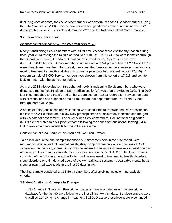(including date of death) for VA Servicemembers was determined for all Servicemembers using the Vital Status File (VSS). Servicemember age and gender was determined using the PBM demographic file which is developed from the VSS and the National Patient Care Database.

## **3.2 Servicemember Cohort**

#### *Identification of Cohort: New Transfers from DoD to VA*

Newly transitioning Servicemembers with a first-time VA healthcare visit for any reason during fiscal year 2014 through the middle of fiscal year 2015 (10/1/13-3/31/15) were identified through the Operation Enduring Freedom-Operation Iraqi Freedom and Operation New Dawn (OEF/OIF/OND) Roster. Servicemembers with at least one VA prescription in FY 14 and FY 15 were then chosen, and from that cohort, newly enrolled Servicemembers receiving medications used to treat mental health and sleep disorders or pain were further identified (N=17,015). A random sample of 5,000 Servicemembers was chosen from this cohort of 17,015 and sent to DoD to match with the same time period.

As in the 2014 pilot evaluation, this cohort of newly transitioning Servicemembers who were dispensed mental health, sleep or pain medications by VA was then provided to DoD. The DoD identified, matched and transferred to the VA project team 1,503 records for Servicemembers with prescriptions and diagnosis data for the cohort that separated from DoD from FY 2014 through March 31, 2015.

A series of data translations and validations were conducted to translate the DoD prescription file into the VA file structure to allow DoD prescriptions to be accurately identified and merged with VA data for assessment. For seventy-one Servicemembers, DoD national drug codes (NDC) did not match to a VA product name following the series of translations, leaving 1,432 DoD Servicemembers available for the initial assessment.

#### *Construction of Final Sample: Inclusion and Exclusion Criteria*

To be included in the final sample for analysis, Servicemembers in the pilot cohort were required to have active DoD mental health, sleep or opioid prescriptions at the time of DoD separation. In this step, a prescription was considered to be active if there was at least one day of therapy in the immediate month prior to separation from DoD (N=1,235). Exclusion criteria consisted of the following: no active Rx for medications used to treat mental health disorders, sleep disorders or pain, delayed users of the VA healthcare system, no evaluable mental health, sleep or pain medications within the first 90 days in VA.

The final sample consisted of 318 Servicemembers after applying inclusion and exclusion criteria.

## **3.3 Identification of Changes in Therapy**

1. No Change in Therapy – Prescription patterns were evaluated using the prescription database for the first 90 days following the first clinical VA visit date. Servicemembers were classified as having no change in treatment if all DoD active prescriptions were continued in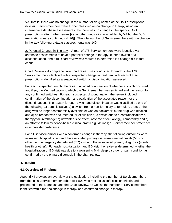VA; that is, there was no change in the number or drug names of the DoD prescriptions (N=64). Servicemembers were further classified as no change in therapy using an intermediate database assessment if the there was no change in the specific DoD prescriptions after further review [i.e. another medication was added by VA but the DoD medications were continued  $(N=76)$ ]. The total number of Servicemembers with no change in therapy following database assessments was 140.

2. Potential Change in Therapy – A total of 178 Servicemembers were identified via database assessments to have a potential change in therapy, either a switch or a discontinuation, and a full chart review was required to determine if a change did in fact occur.

Chart Review – A comprehensive chart review was conducted for each of the 178 Servicemembers identified with a suspected change in treatment with each of their prescriptions identified as a suspected switch or discontinuation assessed.

For each suspected switch, the review included confirmation of whether a switch occurred and if so, the VA medication to which the Servicemember was switched and the reason for any confirmed switches. For each suspected discontinuation, the review included confirmation of the discontinuation and evaluation of the associated reason for the discontinuation. The reason for each switch and discontinuation was classified as one of the following: 1) administrative: a) a switch from a non-formulary to formulary drug; b) the drug was no longer commercially available or was on backorder; c) the drug was recalled and d) no reason was documented, or 2) clinical: a) a switch due to a contraindication; b) therapy failure/change; c) unwanted side effect, adverse effect, allergy, comorbidity and c) an effort to follow evidence-based clinical practice guidelines; d) Servicemember preference or e) provider preference.

For all Servicemembers with a confirmed change in therapy, the following outcomes were assessed: hospitalization and the associated primary diagnosis (mental health (MH) or other), and emergency department (ED) visit and the associated primary diagnosis (mental health or other). For each hospitalization and ED visit, the reviewer determined whether the hospitalization or ED visit was due to a worsening MH, sleep disorder or pain condition as confirmed by the primary diagnosis in the chart review.

## **4. Results**

## **4.1 Overview of Findings**

Appendix I provides an overview of the evaluation, including the number of Servicemembers from the initial Servicemember cohort of 1,503 who met inclusion/exclusion criteria and proceeded to the Database and the Chart Review, as well as the number of Servicemembers identified with either no change in therapy or a confirmed change in therapy.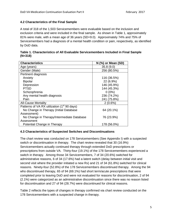#### **4.2 Characteristics of the Final Sample**

A total of 318 of the 1,503 Servicemembers were evaluable based on the inclusion and exclusion criteria and were included in the final sample. As shown in Table 1, approximately 81% were male, with a mean age of 36 years (SD=9.0). Approximately 74% and 75% of Servicemembers had a diagnosis of a mental health condition or pain, respectively, as identified by DoD data.

|           |  | Table 1. Characteristics of All Evaluable Servicemembers Included in Final Sample |  |
|-----------|--|-----------------------------------------------------------------------------------|--|
| $(N=318)$ |  |                                                                                   |  |

| <b>Characteristics</b>                                  | $N$ (%) or Mean (SD) |
|---------------------------------------------------------|----------------------|
| Age (years)                                             | 35.8(9.0)            |
| Gender (Male)                                           | 256 (80.5%)          |
| Pertinent diagnosis                                     |                      |
| Anxiety                                                 | 116 (36.5%)          |
| <b>Bipolar</b>                                          | 22 (6.9%)            |
| Depression                                              | 146 (45.9%)          |
| <b>PTSD</b>                                             | 144 (45.3%)          |
| Schizophrenia                                           | $0(0\%)$             |
| Any mental health diagnosis                             | 236 (74.2%)          |
| Pain                                                    | 241 (75.8%)          |
| <b>All-Cause Mortality</b>                              | $2(0.6\%)$           |
| Patterns of VA RX utilization (1 <sup>st</sup> 90 days) |                      |
| No Change in Therapy (Initial Database                  | 64 (20.1%)           |
| Assessment)                                             |                      |
| No Change in Therapy/Intermediate Database              | 76 (23.9%)           |
| Assessment                                              |                      |
| Potential Change in Therapy                             | 178 (56.0%)          |

#### **4.3 Characteristics of Suspected Switches and Discontinuations**

The chart review was conducted on 178 Servicemembers (See Appendix I) with a suspected switch or discontinuation in therapy. The chart review revealed that 30 (16.9%) Servicemembers actually continued therapy through extended DoD prescriptions or prescriptions from outside VA. Thirty-four (19.1%) of the 178 Servicemembers experienced a switch in therapy. Among those 34 Servicemembers, 7 of 34 (20.6%) switched for administrative reasons, 6 of 34 (17.6%) had a latent switch (delay between initial visit and second visit where the provider initiated a new Rx) and 21 of 34 (61.8%) switched for clinical reasons. Ninety-four (52.8%) of the 178 Servicemembers discontinued therapy. Among the 94 who discontinued therapy, 65 of 94 (69.1%) had short term/acute prescriptions that were completed prior to leaving DoD and were not evaluated for reasons for discontinuation, 2 of 94 (2.1%) were categorized as an administrative discontinuation since there was no reason listed for discontinuation and 27 of 94 (28.7%) were discontinued for clinical reasons.

Table 2 reflects the types of changes in therapy confirmed via chart review conducted on the 178 Servicemembers with a suspected change in therapy.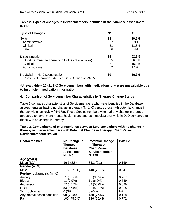| Table 2. Types of changes in Servicemembers identified in the database assessment |  |
|-----------------------------------------------------------------------------------|--|
| (N=178)                                                                           |  |

| <b>Type of Changes</b>                                                              | $N^*$ | %     |
|-------------------------------------------------------------------------------------|-------|-------|
| Switch                                                                              | 34    | 19.1% |
| Administrative                                                                      |       | 3.9%  |
| Clinical                                                                            | 21    | 11.8% |
| Latent                                                                              | 6     | 3.4%  |
|                                                                                     |       |       |
| Discontinuation -                                                                   | 94    | 52.8% |
| Short Term/Acute Therapy in DoD (Not evaluable)                                     | 65    | 36.5% |
| Clinical                                                                            | 27    | 15.2% |
| Administrative                                                                      | 2     | 1.1%  |
|                                                                                     |       |       |
| No Switch - No Discontinuation<br>Continued (through extended DoD/Outside or VA Rx) | 30    | 16.9% |
|                                                                                     |       |       |

**\*Unevaluable – 20 (11.2%) Servicemembers with medications that were unevaluable due to insufficient medication information.**

## **4.4 Comparison of Servicemember Characteristics by Therapy Change Status**

Table 3 compares characteristics of Servicemembers who were identified in the Database assessments as having no change in therapy (N=140) versus those with potential change in therapy via chart review (N=178). Those Servicemembers who had any change in therapy appeared to have more mental health, sleep and pain medications while in DoD compared to those with no change in therapy.

| Table 3. Comparisons of characteristics between Servicemembers with no change in |
|----------------------------------------------------------------------------------|
| therapy vs. Servicemembers with Potential Change in Therapy (Chart Review        |
| Servicemembers; N=178)                                                           |

| <b>Characteristics</b>      | No Change in<br><b>Therapy</b><br><b>Database</b><br>Assessment;<br>$N = 140$ | <b>Potential Change</b><br>in Therapy $*$ <sup>#</sup><br><b>Chart Review</b><br>Servicemembers;<br>$N = 178$ | P-value   |
|-----------------------------|-------------------------------------------------------------------------------|---------------------------------------------------------------------------------------------------------------|-----------|
| Age (years)                 |                                                                               |                                                                                                               |           |
| Mean (SD)                   | 36.6(8.8)                                                                     | 35.2(9.1)                                                                                                     | 0.169     |
| Gender (n, %)               |                                                                               |                                                                                                               |           |
| Male                        | 116 (82.9%)                                                                   | 140 (78.7%)                                                                                                   | 0.347     |
| Pertinent diagnosis (n, %)  |                                                                               |                                                                                                               |           |
| Anxiety                     | 51 (36.4%)                                                                    | 65 (36.5%)                                                                                                    | 0.987     |
| <b>Bipolar</b>              | 11 (7.9%)                                                                     | $11(6.2\%)$                                                                                                   | 0.559     |
| depression                  | 57 (40.7%)                                                                    | 89 (50.0%)                                                                                                    | 0.099     |
| <b>PTSD</b>                 | 53 (37.9%)                                                                    | 91 (51.1%)                                                                                                    | 0.018     |
| Schizophrenia               | $0(0\%)$                                                                      |                                                                                                               | <b>NA</b> |
| Any mental health condition | 98 (70.0%)                                                                    | 138 (77.5%)                                                                                                   | 0.128     |
| Pain                        | 105 (75.0%)                                                                   | 136 (76.4%)                                                                                                   | 0.772     |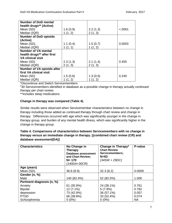<span id="page-6-0"></span>

| <b>Number of DoD mental</b>       |          |          |         |
|-----------------------------------|----------|----------|---------|
| health drugs** (Active)           |          |          |         |
| Mean (SD)                         | 1.6(0.9) | 2.2(1.3) | < .0001 |
| Median (IQR)                      | 1(1, 2)  | 2(1, 3)  |         |
| <b>Number of DoD opioids</b>      |          |          |         |
| (Active)                          |          |          |         |
| Mean (SD),                        | 1.1(0.4) | 1.5(0.7) | 0.0003  |
| Median (IQR)                      | 1(1, 1)  | 1(1, 2)  |         |
| <b>Number of VA mental</b>        |          |          |         |
| health drugs** after first        |          |          |         |
| <b>VA clinical visit</b>          |          |          |         |
| Mean (SD)                         | 2.3(1.3) | 2.1(1.4) | 0.455   |
| Median (IQR)                      | 2(1, 3)  | 2(1, 3)  |         |
| <b>Number of VA opioids after</b> |          |          |         |
| first VA clinical visit           |          |          |         |
| Mean (SD)                         | 1.5(0.6) | 1.3(0.6) | 0.240   |
| Median (IQR)                      | 1(1, 2)  | 1(1, 2)  |         |

\*Discontinue and Switch Servicemembers

# 30 Servicemembers identified in database as a possible change in therapy actually continued therapy per chart review.

\*\*includes sleep medications

## **Change in therapy was compared (Table 4).**

Similar results were observed when Servicemember characteristics between no change in therapy including those added as continued therapy through chart review and change in therapy.Differences occurred with age which was significantly younger in the change in therapy group, and burden of any mental health illness, which was significantly higher in the change in therapy group.

| Table 4. Comparisons of characteristics between Servicemembers with no change in |
|----------------------------------------------------------------------------------|
| therapy versus an immediate change in therapy. [(combined chart review (CR) and  |
| database assessment(DA)]                                                         |

| <b>Characteristics</b>     | No Change in<br>Therapy<br>Database assessment<br>and Chart Review;<br>$N = 170$<br>(140DA+30CR) | Change in Therapy*<br><b>Chart Review</b><br>Servicemembers;<br>$N=63$<br>(34SW + 29DC) | P-value   |
|----------------------------|--------------------------------------------------------------------------------------------------|-----------------------------------------------------------------------------------------|-----------|
| Age (years)                |                                                                                                  |                                                                                         |           |
| Mean (SD)                  | 36.6(8.9)                                                                                        | 32.3(8.2)                                                                               | 0.0009    |
| Gender (n, %)              |                                                                                                  |                                                                                         |           |
| Male                       | 140 (82.4%)                                                                                      | 52 (82.5%)                                                                              | 1.000     |
| Pertinent diagnosis (n, %) |                                                                                                  |                                                                                         |           |
| Anxiety                    | 61 (35.9%)                                                                                       | 24 (38.1%)                                                                              | 0.761     |
| <b>Bipolar</b>             | 12 (7.1%)                                                                                        | $5(7.9\%)$                                                                              | 0.782     |
| depression                 | 73 (42.9%)                                                                                       | 36 (57.1%)                                                                              | 0.057     |
| <b>PTSD</b>                | 66 (38.8%)                                                                                       | 33 (52.4%)                                                                              | 0.074     |
| Schizophrenia              | $0(0\%)$                                                                                         | $0(0\%)$                                                                                | <b>NA</b> |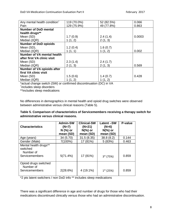<span id="page-7-0"></span>

| Any mental health condition <sup>+</sup> | 119 (70.0%) | 52 (82.5%) | 0.066  |
|------------------------------------------|-------------|------------|--------|
| Pain                                     | 129 (75.9%) | 49 (77.8%) | 0.863  |
| <b>Number of DoD mental</b>              |             |            |        |
| health drugs**                           |             |            |        |
| Mean (SD)                                | 1.7(0.9)    | 2.4(1.4)   | 0.0003 |
| Median (IQR)                             | 1(1, 2)     | 2(1, 3)    |        |
| <b>Number of DoD opioids</b>             |             |            |        |
| Mean (SD),                               | 1.2(0.4)    | 1.6(0.7)   |        |
| Median (IQR)                             | 1(1, 1)     | 1(1, 2)    | 0.002  |
| Number of VA mental health               |             |            |        |
| after first VA clinic visit              |             |            |        |
| Mean (SD)                                | 2.3(1.4)    | 2.4(1.7)   |        |
| Median (IQR)                             | 2(1, 3)     | 2(1, 3)    | 0.569  |
| Number of VA opioids after               |             |            |        |
| first VA clinic visit                    |             |            |        |
| Mean (SD)                                | 1.5(0.6)    | 1.4(0.7)   | 0.428  |
| Median (IQR)                             | 1(1, 2)     | 1(1, 2)    |        |

\*actual change switch (SW) or confirmed discontinuation (DC) in VA <sup>+</sup>

includes sleep disorders

\*\*includes sleep medications

No differences in demographics in mental health and opioid drug switches were observed between administrative versus clinical reasons (Table 5).

| Table 5. Comparison of characteristics of Servicemembers receiving a therapy switch for |
|-----------------------------------------------------------------------------------------|
| administrative versus clinical reasons.                                                 |

| <b>Characteristics</b>                                           | <b>Admin-SW</b><br>$(N=7)$<br>N (%) or<br>mean (SD) | <b>Clinical-SW</b><br>$(N=21)$<br>$N(\%)$ or<br>mean (SD) | Latent-SW<br>$(N=6)$<br>$N$ (%) or<br>mean (SD) | P-value |
|------------------------------------------------------------------|-----------------------------------------------------|-----------------------------------------------------------|-------------------------------------------------|---------|
| Age (years)                                                      | 34 (5.70)                                           | 31.5(8.35)                                                | 38.8(8.2)                                       | 0.144   |
| Gender (Male)                                                    | 7(100%)                                             | 17 (81%)                                                  | 5(83%)                                          | 0.463   |
| Mental health drugs**<br>switched<br>Number of<br>Servicemembers | 5(71.4%)                                            | 17 (81%)                                                  | $3*(75%)$                                       | 0.859   |
| Opioid drugs switched<br>Number of<br>Servicemembers             | 2(28.6%)                                            | 4 (19.1%)                                                 | $1*$ (25%)                                      | 0.859   |

\*2 pts latent switchers / non DoD info \*\* includes sleep medications

There was a significant difference in age and number of drugs for those who had their medications discontinued clinically versus those who had an administrative discontinuation.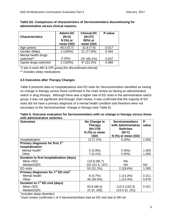| <b>Characteristics</b> | <b>Admin-DC</b><br>$(N=2)$<br>N (%) or<br>mean (SD) | <b>Clinical-DC</b><br>$(N=27)$<br>$N$ (%) or<br>mean (SD) | P-value |
|------------------------|-----------------------------------------------------|-----------------------------------------------------------|---------|
| Age (years)            | 45.5(0.7)                                           | 31.6(7.6)                                                 | 0.017   |
| Gender (Male)          | $2(100\%)$                                          | 21 (77.8%)                                                | 0.454   |
| Mental health drugs    |                                                     |                                                           |         |
| switched**             | $0(0\%)$                                            | 23* (85.2%)                                               | 0.037   |
| Opioid drugs switched  | 2 (100%)                                            | $6*$ (22.2%)                                              | 0.069   |

<span id="page-8-0"></span>**Table 5A. Comparison of characteristics of Servicemembers discontinuing for administrative versus clinical reasons.** 

\*2 pts in each MH & OPI group (for discontinued-clinical)

\*\* includes sleep medications

## **4.5 Outcomes after Therapy Changes**

Table 6 presents data on hospitalizations and ED visits for Servicemembers identified as having no change in therapy versus those confirmed in the chart review as having an administrative switch in drug therapy. Although there was a higher rate of ED visits in the administrative switch group, it was not significant and through chart review, it was confirmed that the majority of ED visits did not have a primary diagnosis of a mental health condition and therefore were not secondary to the Servicemember' change in therapy (see Table 6).

| Table 6. Outcome evaluation for Servicemembers with no change in therapy versus those |  |
|---------------------------------------------------------------------------------------|--|
| with administrative switches.                                                         |  |

| <b>Outcomes</b>                                             | No Change in    | <b>Servicemembers</b> | Р-        |
|-------------------------------------------------------------|-----------------|-----------------------|-----------|
|                                                             | <b>Therapy</b>  | with Administrative   | value     |
|                                                             | $(N=170)$       | <b>Switches</b>       |           |
|                                                             | $N$ (%) or mean | $(N=7)$               |           |
|                                                             | (SD)            | $N$ (%) or mean (SD)  |           |
| Hospitalization                                             | 12 (7.1%)       | $0(0\%)$              | 1.000     |
| Primary diagnosis for first 1 <sup>st</sup>                 |                 |                       |           |
| hospitalization                                             |                 |                       |           |
| Mental health <sup>+</sup>                                  | 5(2.9%)         | $0(0\%)$              | 1.000     |
| Other                                                       | 7(4.1%)         | $0(0\%)$              | 1.000     |
| Duration to first hospitalization (days)                    |                 |                       |           |
| Mean (SD)                                                   | 115.8 (86.7)    | NA.                   |           |
| Median(IQR)                                                 | 101 (51.5, 197) | NA.                   | <b>NA</b> |
| <b>ED</b> visits                                            | 53 (31.2%)      | 2(28.6%)              | 1.000     |
| Primary diagnoses for 1 <sup>st</sup> ED visit <sup>#</sup> |                 |                       |           |
| Mental health                                               | 8(4.7%)         | 1(14.3%)              | 0.311     |
| Other                                                       | 45 (26.5%)      | 1(14.3%)              | 0.678     |
| Duration to 1 <sup>st</sup> ED visit (days)                 |                 |                       |           |
| Mean (SD)                                                   | 63.8 (86.4)     | 115.5 (163.3)         | 0.421     |
| Median(IQR)                                                 | 21 (0, 105)     | 115.5 (0, 231)        |           |
| *includes sleep disorders                                   |                 |                       |           |

# chart review confirmed 1 of 4 Servicemembers had an ED visit due to MH dx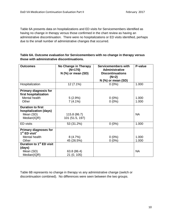**first hospitalization**

**hospitalization (days)**

**Duration to first** 

<span id="page-9-0"></span>Table 6A presents data on hospitalizations and ED visits for Servicemembers identified as having no change in therapy versus those confirmed in the chart review as having an administrative discontinuation. There were no hospitalizations or ED visits identified, perhaps due to the small number of administrative changes that occurred.

| those with administrative discontinuations. |                                                           |                                                                                                            |         |  |
|---------------------------------------------|-----------------------------------------------------------|------------------------------------------------------------------------------------------------------------|---------|--|
| <b>Outcomes</b>                             | No Change in Therapy<br>$(N=170)$<br>$N$ (%) or mean (SD) | Servicemembers with<br><b>Administrative</b><br><b>Discontinuations</b><br>$(N=2)$<br>$N$ (%) or mean (SD) | P-value |  |
| Hospitalization                             | $12(7.1\%)$                                               | $0(0\%)$                                                                                                   | 1.000   |  |
| <b>Primary diagnosis for</b>                |                                                           |                                                                                                            |         |  |

Mental health  $5 (2.9%)$  0 (0%) 1.000 Other 1.000 | 7 (4.1%) | 0 (0%) | 1.000

Mean (SD) 115.8 (86.7) <br>
Median(IQR) 101 (51.5, 197) 101

ED visits  $\begin{array}{|c|c|c|c|c|c|c|c|} \hline \text{ED visits} & & 53 (31.2\%) & & 0 (0\%) & & 1.000 \hline \end{array}$ 

101 (51.5, 197)

| Table 6A. Outcome evaluation for Servicemembers with no change in therapy versus |
|----------------------------------------------------------------------------------|
| those with administrative discontinuations.                                      |

| <b>Primary diagnoses for</b><br>$1st$ ED visit <sup>+</sup> |             |          |           |
|-------------------------------------------------------------|-------------|----------|-----------|
| Mental health                                               | 8(4.7%)     | $0(0\%)$ | 1.000     |
| Other                                                       | 45 (26.5%)  | $0(0\%)$ | 1.000     |
| Duration to 1 <sup>st</sup> ED visit                        |             |          |           |
| (days)                                                      |             |          |           |
| Mean (SD)                                                   | 63.8 (86.4) |          | <b>NA</b> |
| Median(IQR)                                                 | 21 (0, 105) |          |           |

Table 6B represents no change in therapy vs any administrative change (switch or discontinuation combined). No differences were seen between the two groups.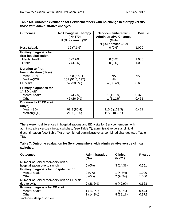| <b>Outcomes</b>                                             | No Change in Therapy<br>$(N=170)$ | <b>Servicemembers with</b><br><b>Administrative Changes</b> | P-value |
|-------------------------------------------------------------|-----------------------------------|-------------------------------------------------------------|---------|
|                                                             | $N$ (%) or mean (SD)              | $(N=9)$                                                     |         |
|                                                             |                                   | $N$ (%) or mean (SD)                                        |         |
| Hospitalization                                             | $12(7.1\%)$                       | $0(0\%)$                                                    | 1.000   |
| <b>Primary diagnosis for</b><br>first hospitalization       |                                   |                                                             |         |
| Mental health                                               | 5(2.9%)                           | $0(0\%)$                                                    | 1.000   |
| Other                                                       | $7(4.1\%)$                        | $0(0\%)$                                                    | 1.000   |
| <b>Duration to first</b>                                    |                                   |                                                             |         |
| hospitalization (days)                                      |                                   |                                                             |         |
| Mean (SD)                                                   | 115.8 (86.7)                      | NA.                                                         | NA.     |
| Median(IQR)                                                 | 101 (51.5, 197)                   | NA.                                                         |         |
| <b>ED</b> visits                                            | 52 (30.8%)                        | 4 (36.4%)                                                   | 0.698   |
| <b>Primary diagnoses for</b><br>$1st$ ED visit <sup>+</sup> |                                   |                                                             |         |
| Mental health                                               | 8(4.7%)                           | $1(11.1\%)$                                                 | 0.378   |
| Other                                                       | 45 (26.5%)                        | $1(11.1\%)$                                                 | 0.451   |
| Duration to 1 <sup>st</sup> ED visit                        |                                   |                                                             |         |
| (days)                                                      |                                   |                                                             |         |
| Mean (SD)                                                   | 63.8 (86.4)                       | 115.5 (163.3)                                               | 0.421   |
| Median(IQR)                                                 | 21(0, 105)                        | 115.5 (0,231)                                               |         |

| Table 6B. Outcome evaluation for Servicemembers with no change in therapy versus |  |
|----------------------------------------------------------------------------------|--|
| those with administrative changes                                                |  |

There were no differences in hospitalizations and ED visits for Servicemembers with administrative versus clinical switches, (see Table 7), administrative versus clinical discontinuation (see Table 7A) or combined administrative vs combined changes (see Table 7B).

## **Table 7. Outcome evaluation for Servicemembers with administrative versus clinical switches.**

| <b>Outcomes</b>                           | <b>Administrative</b><br>$(N=7)$ | <b>Clinical</b><br>$(N=21)$ | P-value |
|-------------------------------------------|----------------------------------|-----------------------------|---------|
| Number of Servicemembers with a           |                                  |                             |         |
| hospitalization due to switch             | $0(0\%)$                         | 3(14.3%)                    | 0.551   |
| Primary diagnosis for hospitalization     |                                  |                             |         |
| Mental health <sup>+</sup>                | $0(0\%)$                         | $1(4.8\%)$                  | 1.000   |
| Other                                     | $0(0\%)$                         | 2(9.5%)                     | 1.000   |
| Number of Servicemembers with an ED visit |                                  |                             |         |
| due to switch                             | 2(28.6%)                         | $9(42.9\%)$                 | 0.668   |
| <b>Primary diagnosis for ED visit</b>     |                                  |                             |         |
| Mental health                             | 1(14.3%)                         | $1(4.8\%)$                  | 0.444   |
| Other                                     | 1(14.3%)                         | 8 (38.1%)                   | 0.372   |

+ includes sleep disorders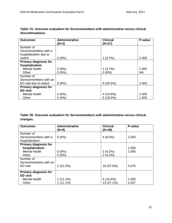| <b>Outcomes</b>              | <b>Administrative</b> | <b>Clinical</b> | P-value   |
|------------------------------|-----------------------|-----------------|-----------|
|                              | $(N=2)$               | $(N=27)$        |           |
| Number of                    |                       |                 |           |
| Servicemembers with a        |                       |                 |           |
| hospitalization due to       |                       |                 |           |
| switch                       | $0(0\%)$              | 1(3.7%)         | 1.000     |
| <b>Primary diagnosis for</b> |                       |                 |           |
| hospitalization              |                       |                 |           |
| Mental health                | $0(0\%)$              | 1(3.7%)         | 1.000     |
| Other                        | $0(0\%)$              | $0(0\%)$        | <b>NA</b> |
| Number of                    |                       |                 |           |
| Servicemembers with an       |                       |                 |           |
| ED visit due to switch       | $0(0\%)$              | $9(33.3\%)$     | 1.000     |
| <b>Primary diagnosis for</b> |                       |                 |           |
| <b>ED visit</b>              |                       |                 |           |
| Mental health                | $0(0\%)$              | 4 (14.8%)       | 1.000     |
| Other                        | $0(0\%)$              | 5(18.5%)        | 1.000     |

## <span id="page-11-0"></span>**Table 7A. Outcome evaluation for Servicemembers with administrative versus clinical discontinuations.**

# **Table 7B. Outcome evaluation for Servicemembers with administrative versus clinical changes.**

| <b>Outcomes</b>              | <b>Administrative</b> | <b>Clinical</b> | P-value |
|------------------------------|-----------------------|-----------------|---------|
|                              | $(N=9)$               | $(N=48)$        |         |
| Number of                    |                       |                 |         |
| Servicemembers with a        | $0(0\%)$              | 4(8.3%)         | 1.000   |
| hospitalization              |                       |                 |         |
| <b>Primary diagnosis for</b> |                       |                 |         |
| hospitalization              |                       |                 | 1.000   |
| Mental health                | $0(0\%)$              | 2(4.2%)         | 1.000   |
| Other                        | $0(0\%)$              | 2(4.2%)         |         |
| Number of                    |                       |                 |         |
| Servicemembers with an       |                       |                 |         |
| ED visit                     | 2(22.2%)              | 18 (37.5%)      | 0.470   |
|                              |                       |                 |         |
| <b>Primary diagnosis for</b> |                       |                 |         |
| <b>ED visit</b>              |                       |                 |         |
| Mental health                | $1(11.1\%)$           | $5(10.4\%)$     | 1.000   |
| Other                        | $1(11.1\%)$           | 13 (27.1%)      | 0.427   |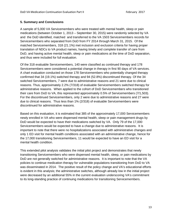#### **5. Summary and Conclusions**

A sample of 5,000 VA Servicemembers who were treated with mental health, sleep or pain medications (between October 1, 2013 – September 30, 2015) were randomly selected by VA and the DoD identified, matched and transferred to the VA 1503 Servicemembers records for Servicemembers who separated from DoD from FY 2014 through March 31, 2015. Of the matched Servicemembers, 318 (21.1%) met inclusion and exclusion criteria for having proper translation of NDCs to VA product names, having timely and complete transfer of care from DoD, and having active mental health, sleep or pain medications at the time of DoD separation, and thus were included for full evaluation.

Of the 318 evaluable Servicemembers, 140 were classified as continued therapy and 178 Servicemembers were considered a potential change in therapy in first 90 days of VA services. A chart evaluation conducted on those 178 Servicemembers who potentially changed therapy confirmed that 34 (19.1%) switched therapy and 94 (52.8%) discontinued therapy. Of the 34 switched Servicemembers, 7 were due to administrative reasons and 21 were due to clinical reasons. Thus, approximately 2.2% (7/318) of evaluable Servicemembers switched therapy for administrative reasons. When applied to the cohort of DoD Servicemembers who transitioned their care from DoD to VA, this represented approximately 0.5% of Servicemembers (7/1,503). For the discontinued Servicemembers, only 2 were due to administrative reasons and 27 were due to clinical reasons. Thus less than 1% (2/318) of evaluable Servicemembers were discontinued for administrative reasons.

Based on this evaluation, it is estimated that 385 of the approximately 17,000 Servicemembers newly enrolled in VA who were dispensed mental health, sleep or pain management drugs by DoD would be expected to have their medications switched by VA. Only 79 of the 17,000 Servicemembers would be expected to have a change due to administrative reasons. It is important to note that there were no hospitalizations associated with administrative changes and only 1 ED visit for mental health conditions associated with an administrative change, hence for the 17,000 transitioning Servicemembers, 11 would be expected to have an ED visit for a mental health condition.

This extended pilot analysis validates the initial pilot project and demonstrates that newly transitioning Servicemembers who were dispensed mental health, sleep, or pain medications by DoD are not generally switched for administrative reasons. It is important to note that the VA policies to continue medication therapy for vulnerable populations transitioning from DoD to VA was disseminated in 2014. The positive result of the policy change and VA's educational efforts is evident in this analysis; the administrative switches, although already low in the initial project were decreased by an additional 55% in the current evaluation underscoring VA's commitment to its long-standing practice of continuing medications for transitioning Servicemembers.